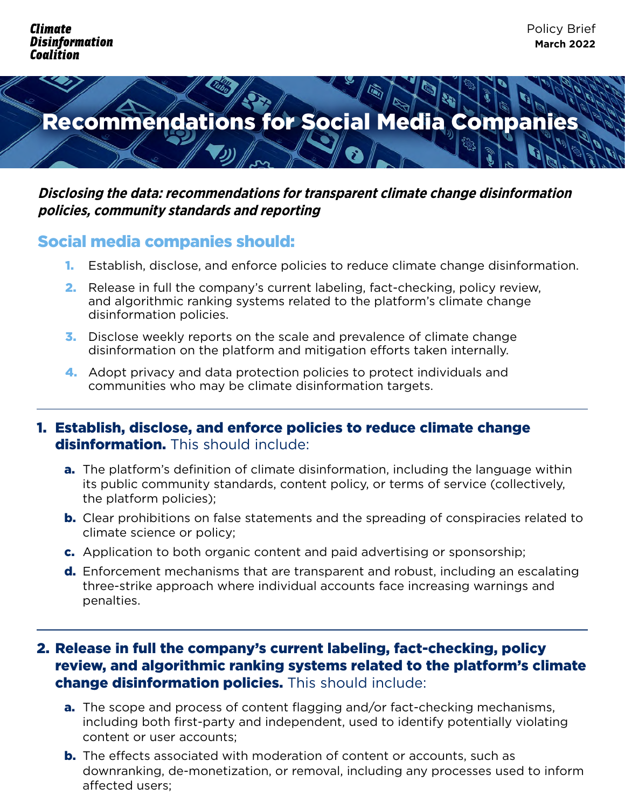

### **Disclosing the data: recommendations for transparent climate change disinformation policies, community standards and reporting**

# Social media companies should:

- 1. Establish, disclose, and enforce policies to reduce climate change disinformation.
- 2. Release in full the company's current labeling, fact-checking, policy review, and algorithmic ranking systems related to the platform's climate change disinformation policies.
- 3. Disclose weekly reports on the scale and prevalence of climate change disinformation on the platform and mitigation efforts taken internally.
- 4. Adopt privacy and data protection policies to protect individuals and communities who may be climate disinformation targets.

## 1. Establish, disclose, and enforce policies to reduce climate change disinformation. This should include:

- **a.** The platform's definition of climate disinformation, including the language within its public community standards, content policy, or terms of service (collectively, the platform policies);
- **b.** Clear prohibitions on false statements and the spreading of conspiracies related to climate science or policy;
- c. Application to both organic content and paid advertising or sponsorship;
- d. Enforcement mechanisms that are transparent and robust, including an escalating three-strike approach where individual accounts face increasing warnings and penalties.

## 2. Release in full the company's current labeling, fact-checking, policy review, and algorithmic ranking systems related to the platform's climate change disinformation policies. This should include:

- a. The scope and process of content flagging and/or fact-checking mechanisms, including both first-party and independent, used to identify potentially violating content or user accounts;
- **b.** The effects associated with moderation of content or accounts, such as downranking, de-monetization, or removal, including any processes used to inform affected users;